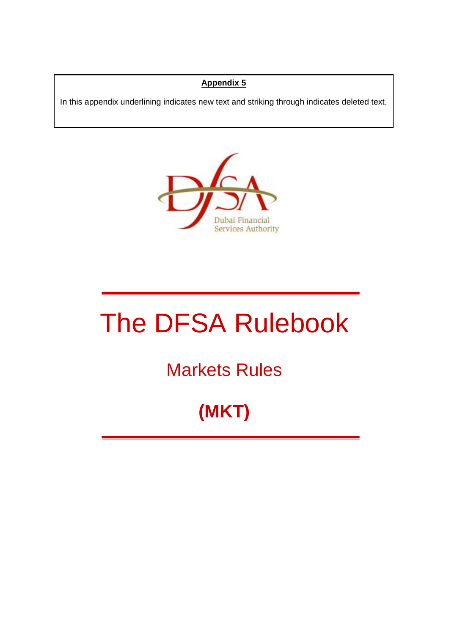## **Appendix 5**

In this appendix underlining indicates new text and striking through indicates deleted text.



# The DFSA Rulebook

## Markets Rules

## **(MKT)**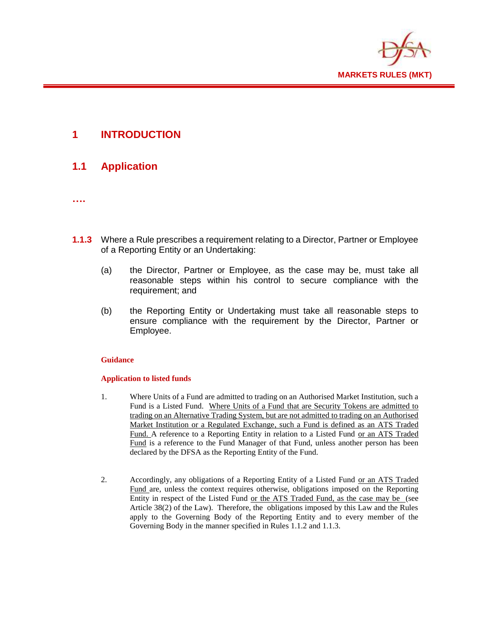

## **1 INTRODUCTION**

## **1.1 Application**

**….**

- **1.1.3** Where a Rule prescribes a requirement relating to a Director, Partner or Employee of a Reporting Entity or an Undertaking:
	- (a) the Director, Partner or Employee, as the case may be, must take all reasonable steps within his control to secure compliance with the requirement; and
	- (b) the Reporting Entity or Undertaking must take all reasonable steps to ensure compliance with the requirement by the Director, Partner or Employee.

#### **Guidance**

#### **Application to listed funds**

- 1. Where Units of a Fund are admitted to trading on an Authorised Market Institution, such a Fund is a Listed Fund. Where Units of a Fund that are Security Tokens are admitted to trading on an Alternative Trading System, but are not admitted to trading on an Authorised Market Institution or a Regulated Exchange, such a Fund is defined as an ATS Traded Fund. A reference to a Reporting Entity in relation to a Listed Fund or an ATS Traded Fund is a reference to the Fund Manager of that Fund, unless another person has been declared by the DFSA as the Reporting Entity of the Fund.
- 2. Accordingly, any obligations of a Reporting Entity of a Listed Fund or an ATS Traded Fund are, unless the context requires otherwise, obligations imposed on the Reporting Entity in respect of the Listed Fund or the ATS Traded Fund, as the case may be (see Article 38(2) of the Law). Therefore, the obligations imposed by this Law and the Rules apply to the Governing Body of the Reporting Entity and to every member of the Governing Body in the manner specified in Rules 1.1.2 and 1.1.3.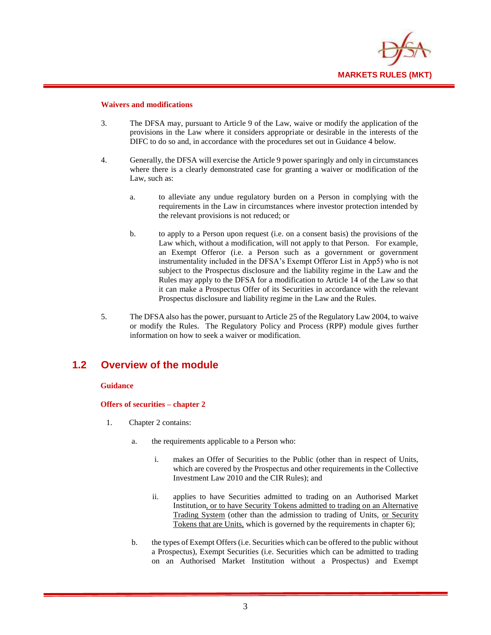

#### **Waivers and modifications**

- 3. The DFSA may, pursuant to Article 9 of the Law, waive or modify the application of the provisions in the Law where it considers appropriate or desirable in the interests of the DIFC to do so and, in accordance with the procedures set out in Guidance 4 below.
- 4. Generally, the DFSA will exercise the Article 9 power sparingly and only in circumstances where there is a clearly demonstrated case for granting a waiver or modification of the Law, such as:
	- a. to alleviate any undue regulatory burden on a Person in complying with the requirements in the Law in circumstances where investor protection intended by the relevant provisions is not reduced; or
	- b. to apply to a Person upon request (i.e. on a consent basis) the provisions of the Law which, without a modification, will not apply to that Person. For example, an Exempt Offeror (i.e. a Person such as a government or government instrumentality included in the DFSA's Exempt Offeror List in App5) who is not subject to the Prospectus disclosure and the liability regime in the Law and the Rules may apply to the DFSA for a modification to Article 14 of the Law so that it can make a Prospectus Offer of its Securities in accordance with the relevant Prospectus disclosure and liability regime in the Law and the Rules.
- 5. The DFSA also has the power, pursuant to Article 25 of the Regulatory Law 2004, to waive or modify the Rules. The Regulatory Policy and Process (RPP) module gives further information on how to seek a waiver or modification.

## **1.2 Overview of the module**

#### **Guidance**

#### **Offers of securities – chapter 2**

- 1. Chapter 2 contains:
	- a. the requirements applicable to a Person who:
		- i. makes an Offer of Securities to the Public (other than in respect of Units, which are covered by the Prospectus and other requirements in the Collective Investment Law 2010 and the CIR Rules); and
		- ii. applies to have Securities admitted to trading on an Authorised Market Institution, or to have Security Tokens admitted to trading on an Alternative Trading System (other than the admission to trading of Units, or Security Tokens that are Units, which is governed by the requirements in chapter 6);
	- b. the types of Exempt Offers (i.e. Securities which can be offered to the public without a Prospectus), Exempt Securities (i.e. Securities which can be admitted to trading on an Authorised Market Institution without a Prospectus) and Exempt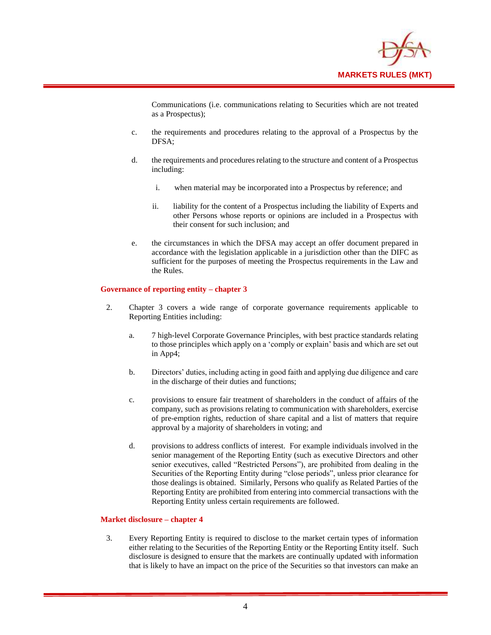

Communications (i.e. communications relating to Securities which are not treated as a Prospectus);

- c. the requirements and procedures relating to the approval of a Prospectus by the DFSA;
- d. the requirements and procedures relating to the structure and content of a Prospectus including:
	- i. when material may be incorporated into a Prospectus by reference; and
	- ii. liability for the content of a Prospectus including the liability of Experts and other Persons whose reports or opinions are included in a Prospectus with their consent for such inclusion; and
- e. the circumstances in which the DFSA may accept an offer document prepared in accordance with the legislation applicable in a jurisdiction other than the DIFC as sufficient for the purposes of meeting the Prospectus requirements in the Law and the Rules.

#### **Governance of reporting entity – chapter 3**

- 2. Chapter 3 covers a wide range of corporate governance requirements applicable to Reporting Entities including:
	- a. 7 high-level Corporate Governance Principles, with best practice standards relating to those principles which apply on a 'comply or explain' basis and which are set out in App4;
	- b. Directors' duties, including acting in good faith and applying due diligence and care in the discharge of their duties and functions;
	- c. provisions to ensure fair treatment of shareholders in the conduct of affairs of the company, such as provisions relating to communication with shareholders, exercise of pre-emption rights, reduction of share capital and a list of matters that require approval by a majority of shareholders in voting; and
	- d. provisions to address conflicts of interest. For example individuals involved in the senior management of the Reporting Entity (such as executive Directors and other senior executives, called "Restricted Persons"), are prohibited from dealing in the Securities of the Reporting Entity during "close periods", unless prior clearance for those dealings is obtained. Similarly, Persons who qualify as Related Parties of the Reporting Entity are prohibited from entering into commercial transactions with the Reporting Entity unless certain requirements are followed.

#### **Market disclosure – chapter 4**

3. Every Reporting Entity is required to disclose to the market certain types of information either relating to the Securities of the Reporting Entity or the Reporting Entity itself. Such disclosure is designed to ensure that the markets are continually updated with information that is likely to have an impact on the price of the Securities so that investors can make an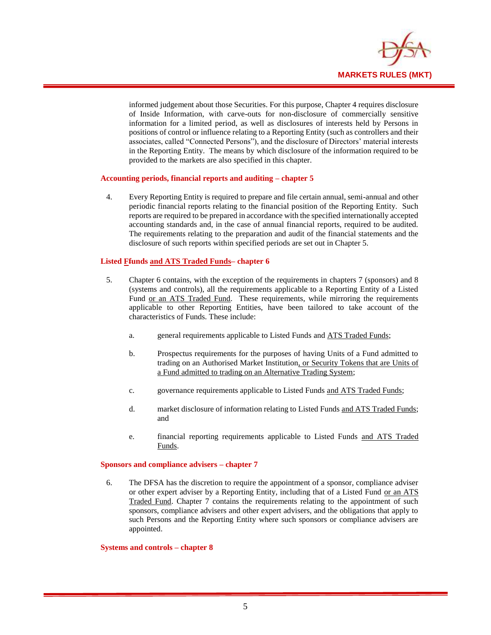

informed judgement about those Securities. For this purpose, Chapter 4 requires disclosure of Inside Information, with carve-outs for non-disclosure of commercially sensitive information for a limited period, as well as disclosures of interests held by Persons in positions of control or influence relating to a Reporting Entity (such as controllers and their associates, called "Connected Persons"), and the disclosure of Directors' material interests in the Reporting Entity. The means by which disclosure of the information required to be provided to the markets are also specified in this chapter.

#### **Accounting periods, financial reports and auditing – chapter 5**

4. Every Reporting Entity is required to prepare and file certain annual, semi-annual and other periodic financial reports relating to the financial position of the Reporting Entity. Such reports are required to be prepared in accordance with the specified internationally accepted accounting standards and, in the case of annual financial reports, required to be audited. The requirements relating to the preparation and audit of the financial statements and the disclosure of such reports within specified periods are set out in Chapter 5.

#### **Listed Ffunds and ATS Traded Funds– chapter 6**

- 5. Chapter 6 contains, with the exception of the requirements in chapters 7 (sponsors) and 8 (systems and controls), all the requirements applicable to a Reporting Entity of a Listed Fund or an ATS Traded Fund. These requirements, while mirroring the requirements applicable to other Reporting Entities, have been tailored to take account of the characteristics of Funds. These include:
	- a. general requirements applicable to Listed Funds and ATS Traded Funds;
	- b. Prospectus requirements for the purposes of having Units of a Fund admitted to trading on an Authorised Market Institution, or Security Tokens that are Units of a Fund admitted to trading on an Alternative Trading System;
	- c. governance requirements applicable to Listed Funds and ATS Traded Funds;
	- d. market disclosure of information relating to Listed Funds and ATS Traded Funds; and
	- e. financial reporting requirements applicable to Listed Funds and ATS Traded Funds.

#### **Sponsors and compliance advisers – chapter 7**

6. The DFSA has the discretion to require the appointment of a sponsor, compliance adviser or other expert adviser by a Reporting Entity, including that of a Listed Fund or an ATS Traded Fund. Chapter 7 contains the requirements relating to the appointment of such sponsors, compliance advisers and other expert advisers, and the obligations that apply to such Persons and the Reporting Entity where such sponsors or compliance advisers are appointed.

#### **Systems and controls – chapter 8**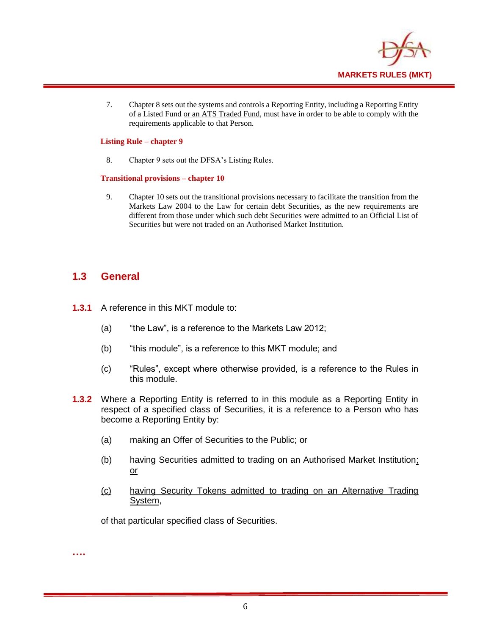

7. Chapter 8 sets out the systems and controls a Reporting Entity, including a Reporting Entity of a Listed Fund or an ATS Traded Fund, must have in order to be able to comply with the requirements applicable to that Person.

#### **Listing Rule – chapter 9**

8. Chapter 9 sets out the DFSA's Listing Rules.

#### **Transitional provisions – chapter 10**

9. Chapter 10 sets out the transitional provisions necessary to facilitate the transition from the Markets Law 2004 to the Law for certain debt Securities, as the new requirements are different from those under which such debt Securities were admitted to an Official List of Securities but were not traded on an Authorised Market Institution.

### **1.3 General**

**….**

**1.3.1** A reference in this MKT module to:

- (a) "the Law", is a reference to the Markets Law 2012;
- (b) "this module", is a reference to this MKT module; and
- (c) "Rules", except where otherwise provided, is a reference to the Rules in this module.
- **1.3.2** Where a Reporting Entity is referred to in this module as a Reporting Entity in respect of a specified class of Securities, it is a reference to a Person who has become a Reporting Entity by:
	- (a) making an Offer of Securities to the Public; or
	- (b) having Securities admitted to trading on an Authorised Market Institution; or
	- (c) having Security Tokens admitted to trading on an Alternative Trading System,

of that particular specified class of Securities.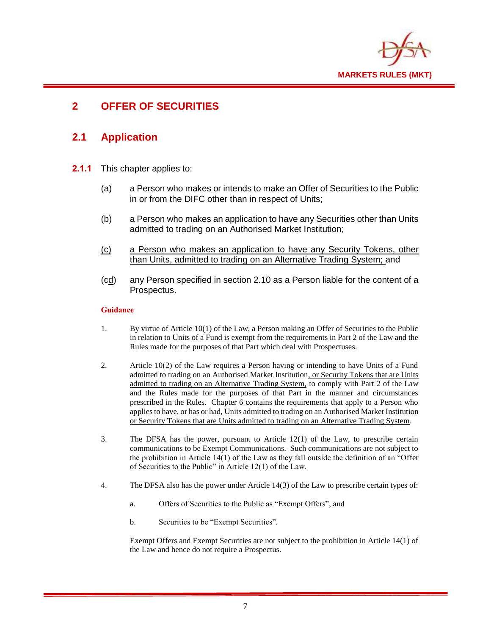

## **2 OFFER OF SECURITIES**

### **2.1 Application**

- **2.1.1** This chapter applies to:
	- (a) a Person who makes or intends to make an Offer of Securities to the Public in or from the DIFC other than in respect of Units;
	- (b) a Person who makes an application to have any Securities other than Units admitted to trading on an Authorised Market Institution;
	- (c) a Person who makes an application to have any Security Tokens, other than Units, admitted to trading on an Alternative Trading System; and
	- $\frac{1}{\text{ed}}$  any Person specified in section 2.10 as a Person liable for the content of a Prospectus.

#### **Guidance**

- 1. By virtue of Article 10(1) of the Law, a Person making an Offer of Securities to the Public in relation to Units of a Fund is exempt from the requirements in Part 2 of the Law and the Rules made for the purposes of that Part which deal with Prospectuses.
- 2. Article 10(2) of the Law requires a Person having or intending to have Units of a Fund admitted to trading on an Authorised Market Institution, or Security Tokens that are Units admitted to trading on an Alternative Trading System, to comply with Part 2 of the Law and the Rules made for the purposes of that Part in the manner and circumstances prescribed in the Rules. Chapter 6 contains the requirements that apply to a Person who applies to have, or has or had, Units admitted to trading on an Authorised Market Institution or Security Tokens that are Units admitted to trading on an Alternative Trading System.
- 3. The DFSA has the power, pursuant to Article 12(1) of the Law, to prescribe certain communications to be Exempt Communications. Such communications are not subject to the prohibition in Article 14(1) of the Law as they fall outside the definition of an "Offer of Securities to the Public" in Article 12(1) of the Law.
- 4. The DFSA also has the power under Article 14(3) of the Law to prescribe certain types of:
	- a. Offers of Securities to the Public as "Exempt Offers", and
	- b. Securities to be "Exempt Securities".

Exempt Offers and Exempt Securities are not subject to the prohibition in Article 14(1) of the Law and hence do not require a Prospectus.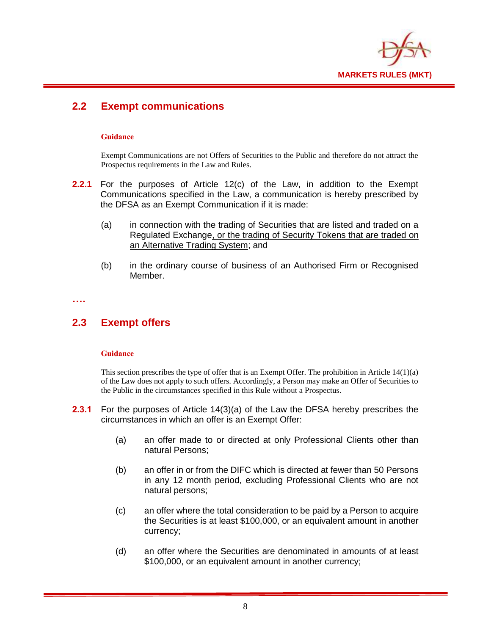

## **2.2 Exempt communications**

#### **Guidance**

Exempt Communications are not Offers of Securities to the Public and therefore do not attract the Prospectus requirements in the Law and Rules.

- **2.2.1** For the purposes of Article 12(c) of the Law, in addition to the Exempt Communications specified in the Law, a communication is hereby prescribed by the DFSA as an Exempt Communication if it is made:
	- (a) in connection with the trading of Securities that are listed and traded on a Regulated Exchange, or the trading of Security Tokens that are traded on an Alternative Trading System; and
	- (b) in the ordinary course of business of an Authorised Firm or Recognised Member.

**….**

## **2.3 Exempt offers**

#### **Guidance**

This section prescribes the type of offer that is an Exempt Offer. The prohibition in Article  $14(1)(a)$ of the Law does not apply to such offers. Accordingly, a Person may make an Offer of Securities to the Public in the circumstances specified in this Rule without a Prospectus.

- **2.3.1** For the purposes of Article 14(3)(a) of the Law the DFSA hereby prescribes the circumstances in which an offer is an Exempt Offer:
	- (a) an offer made to or directed at only Professional Clients other than natural Persons;
	- (b) an offer in or from the DIFC which is directed at fewer than 50 Persons in any 12 month period, excluding Professional Clients who are not natural persons;
	- (c) an offer where the total consideration to be paid by a Person to acquire the Securities is at least \$100,000, or an equivalent amount in another currency;
	- (d) an offer where the Securities are denominated in amounts of at least \$100,000, or an equivalent amount in another currency;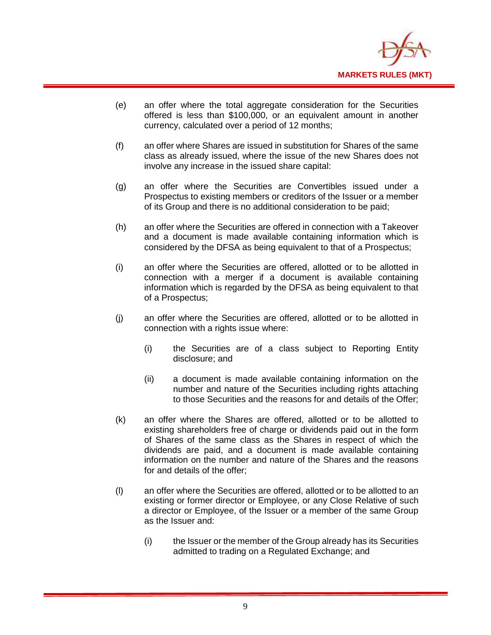

- (e) an offer where the total aggregate consideration for the Securities offered is less than \$100,000, or an equivalent amount in another currency, calculated over a period of 12 months;
- (f) an offer where Shares are issued in substitution for Shares of the same class as already issued, where the issue of the new Shares does not involve any increase in the issued share capital:
- (g) an offer where the Securities are Convertibles issued under a Prospectus to existing members or creditors of the Issuer or a member of its Group and there is no additional consideration to be paid;
- (h) an offer where the Securities are offered in connection with a Takeover and a document is made available containing information which is considered by the DFSA as being equivalent to that of a Prospectus;
- (i) an offer where the Securities are offered, allotted or to be allotted in connection with a merger if a document is available containing information which is regarded by the DFSA as being equivalent to that of a Prospectus;
- (j) an offer where the Securities are offered, allotted or to be allotted in connection with a rights issue where:
	- (i) the Securities are of a class subject to Reporting Entity disclosure; and
	- (ii) a document is made available containing information on the number and nature of the Securities including rights attaching to those Securities and the reasons for and details of the Offer;
- (k) an offer where the Shares are offered, allotted or to be allotted to existing shareholders free of charge or dividends paid out in the form of Shares of the same class as the Shares in respect of which the dividends are paid, and a document is made available containing information on the number and nature of the Shares and the reasons for and details of the offer;
- (l) an offer where the Securities are offered, allotted or to be allotted to an existing or former director or Employee, or any Close Relative of such a director or Employee, of the Issuer or a member of the same Group as the Issuer and:
	- (i) the Issuer or the member of the Group already has its Securities admitted to trading on a Regulated Exchange; and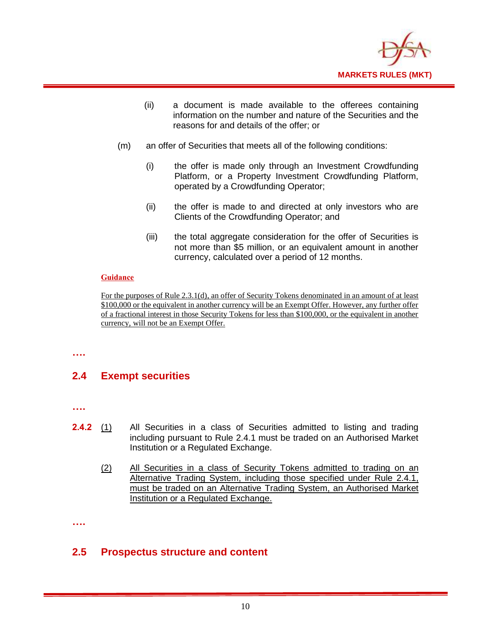

- (ii) a document is made available to the offerees containing information on the number and nature of the Securities and the reasons for and details of the offer; or
- (m) an offer of Securities that meets all of the following conditions:
	- (i) the offer is made only through an Investment Crowdfunding Platform, or a Property Investment Crowdfunding Platform, operated by a Crowdfunding Operator;
	- (ii) the offer is made to and directed at only investors who are Clients of the Crowdfunding Operator; and
	- (iii) the total aggregate consideration for the offer of Securities is not more than \$5 million, or an equivalent amount in another currency, calculated over a period of 12 months.

#### **Guidance**

For the purposes of Rule 2.3.1(d), an offer of Security Tokens denominated in an amount of at least \$100,000 or the equivalent in another currency will be an Exempt Offer. However, any further offer of a fractional interest in those Security Tokens for less than \$100,000, or the equivalent in another currency, will not be an Exempt Offer.

#### **….**

## **2.4 Exempt securities**

**….**

- **2.4.2** (1) All Securities in a class of Securities admitted to listing and trading including pursuant to Rule 2.4.1 must be traded on an Authorised Market Institution or a Regulated Exchange.
	- (2) All Securities in a class of Security Tokens admitted to trading on an Alternative Trading System, including those specified under Rule 2.4.1, must be traded on an Alternative Trading System, an Authorised Market Institution or a Regulated Exchange.

**….**

## **2.5 Prospectus structure and content**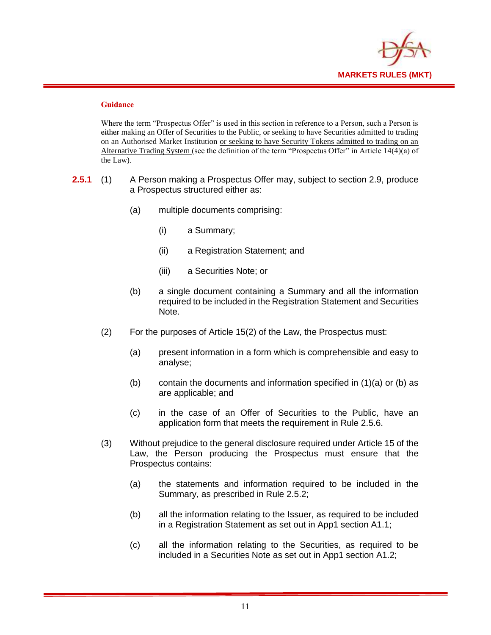

#### **Guidance**

Where the term "Prospectus Offer" is used in this section in reference to a Person, such a Person is either making an Offer of Securities to the Public, or seeking to have Securities admitted to trading on an Authorised Market Institution or seeking to have Security Tokens admitted to trading on an Alternative Trading System (see the definition of the term "Prospectus Offer" in Article 14(4)(a) of the Law).

- **2.5.1** (1) A Person making a Prospectus Offer may, subject to section 2.9, produce a Prospectus structured either as:
	- (a) multiple documents comprising:
		- (i) a Summary;
		- (ii) a Registration Statement; and
		- (iii) a Securities Note; or
	- (b) a single document containing a Summary and all the information required to be included in the Registration Statement and Securities Note.
	- (2) For the purposes of Article 15(2) of the Law, the Prospectus must:
		- (a) present information in a form which is comprehensible and easy to analyse;
		- (b) contain the documents and information specified in (1)(a) or (b) as are applicable; and
		- (c) in the case of an Offer of Securities to the Public, have an application form that meets the requirement in Rule 2.5.6.
	- (3) Without prejudice to the general disclosure required under Article 15 of the Law, the Person producing the Prospectus must ensure that the Prospectus contains:
		- (a) the statements and information required to be included in the Summary, as prescribed in Rule 2.5.2;
		- (b) all the information relating to the Issuer, as required to be included in a Registration Statement as set out in App1 section A1.1;
		- (c) all the information relating to the Securities, as required to be included in a Securities Note as set out in App1 section A1.2;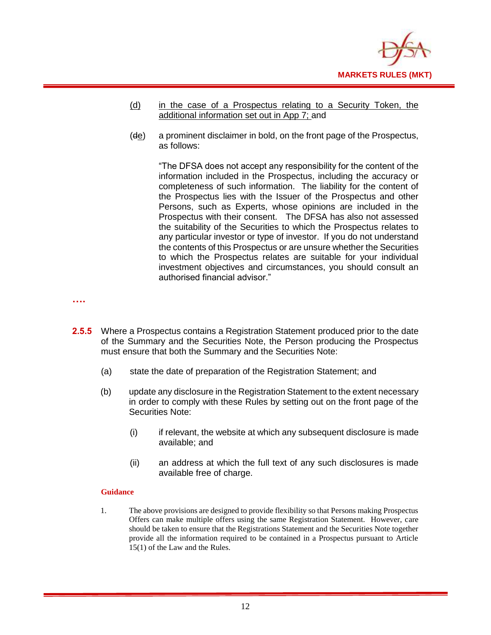

- (d) in the case of a Prospectus relating to a Security Token, the additional information set out in App 7; and
- (de) a prominent disclaimer in bold, on the front page of the Prospectus, as follows:

"The DFSA does not accept any responsibility for the content of the information included in the Prospectus, including the accuracy or completeness of such information. The liability for the content of the Prospectus lies with the Issuer of the Prospectus and other Persons, such as Experts, whose opinions are included in the Prospectus with their consent. The DFSA has also not assessed the suitability of the Securities to which the Prospectus relates to any particular investor or type of investor. If you do not understand the contents of this Prospectus or are unsure whether the Securities to which the Prospectus relates are suitable for your individual investment objectives and circumstances, you should consult an authorised financial advisor."

**….**

- **2.5.5** Where a Prospectus contains a Registration Statement produced prior to the date of the Summary and the Securities Note, the Person producing the Prospectus must ensure that both the Summary and the Securities Note:
	- (a) state the date of preparation of the Registration Statement; and
	- (b) update any disclosure in the Registration Statement to the extent necessary in order to comply with these Rules by setting out on the front page of the Securities Note:
		- (i) if relevant, the website at which any subsequent disclosure is made available; and
		- (ii) an address at which the full text of any such disclosures is made available free of charge.

#### **Guidance**

1. The above provisions are designed to provide flexibility so that Persons making Prospectus Offers can make multiple offers using the same Registration Statement. However, care should be taken to ensure that the Registrations Statement and the Securities Note together provide all the information required to be contained in a Prospectus pursuant to Article 15(1) of the Law and the Rules.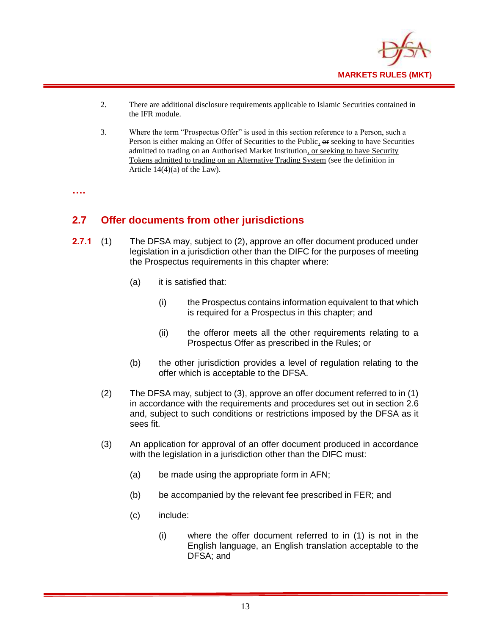

- 2. There are additional disclosure requirements applicable to Islamic Securities contained in the IFR module.
- 3. Where the term "Prospectus Offer" is used in this section reference to a Person, such a Person is either making an Offer of Securities to the Public,  $\Theta$  seeking to have Securities admitted to trading on an Authorised Market Institution, or seeking to have Security Tokens admitted to trading on an Alternative Trading System (see the definition in Article 14(4)(a) of the Law).

**….**

## **2.7 Offer documents from other jurisdictions**

- **2.7.1** (1) The DFSA may, subject to (2), approve an offer document produced under legislation in a jurisdiction other than the DIFC for the purposes of meeting the Prospectus requirements in this chapter where:
	- (a) it is satisfied that:
		- (i) the Prospectus contains information equivalent to that which is required for a Prospectus in this chapter; and
		- (ii) the offeror meets all the other requirements relating to a Prospectus Offer as prescribed in the Rules; or
	- (b) the other jurisdiction provides a level of regulation relating to the offer which is acceptable to the DFSA.
	- (2) The DFSA may, subject to (3), approve an offer document referred to in (1) in accordance with the requirements and procedures set out in section 2.6 and, subject to such conditions or restrictions imposed by the DFSA as it sees fit.
	- (3) An application for approval of an offer document produced in accordance with the legislation in a jurisdiction other than the DIFC must:
		- (a) be made using the appropriate form in AFN;
		- (b) be accompanied by the relevant fee prescribed in FER; and
		- (c) include:
			- (i) where the offer document referred to in (1) is not in the English language, an English translation acceptable to the DFSA; and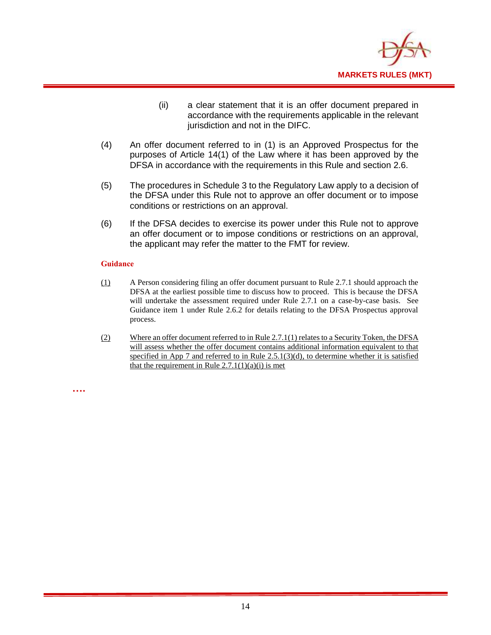

- (ii) a clear statement that it is an offer document prepared in accordance with the requirements applicable in the relevant jurisdiction and not in the DIFC.
- (4) An offer document referred to in (1) is an Approved Prospectus for the purposes of Article 14(1) of the Law where it has been approved by the DFSA in accordance with the requirements in this Rule and section 2.6.
- (5) The procedures in Schedule 3 to the Regulatory Law apply to a decision of the DFSA under this Rule not to approve an offer document or to impose conditions or restrictions on an approval.
- (6) If the DFSA decides to exercise its power under this Rule not to approve an offer document or to impose conditions or restrictions on an approval, the applicant may refer the matter to the FMT for review.

#### **Guidance**

- (1) A Person considering filing an offer document pursuant to Rule 2.7.1 should approach the DFSA at the earliest possible time to discuss how to proceed. This is because the DFSA will undertake the assessment required under Rule 2.7.1 on a case-by-case basis. See Guidance item 1 under Rule 2.6.2 for details relating to the DFSA Prospectus approval process.
- (2) Where an offer document referred to in Rule 2.7.1(1) relates to a Security Token, the DFSA will assess whether the offer document contains additional information equivalent to that specified in App 7 and referred to in Rule 2.5.1(3)(d), to determine whether it is satisfied that the requirement in Rule  $2.7.1(1)(a)(i)$  is met

**….**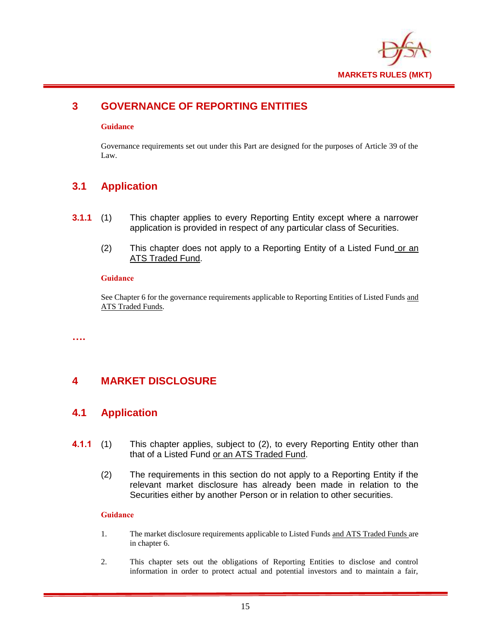

## **3 GOVERNANCE OF REPORTING ENTITIES**

#### **Guidance**

Governance requirements set out under this Part are designed for the purposes of Article 39 of the Law.

## **3.1 Application**

- **3.1.1** (1) This chapter applies to every Reporting Entity except where a narrower application is provided in respect of any particular class of Securities.
	- (2) This chapter does not apply to a Reporting Entity of a Listed Fund or an ATS Traded Fund.

#### **Guidance**

See Chapter 6 for the governance requirements applicable to Reporting Entities of Listed Funds and ATS Traded Funds.

#### **….**

## **4 MARKET DISCLOSURE**

## **4.1 Application**

- **4.1.1** (1) This chapter applies, subject to (2), to every Reporting Entity other than that of a Listed Fund or an ATS Traded Fund.
	- (2) The requirements in this section do not apply to a Reporting Entity if the relevant market disclosure has already been made in relation to the Securities either by another Person or in relation to other securities.

#### **Guidance**

- 1. The market disclosure requirements applicable to Listed Funds and ATS Traded Funds are in chapter 6.
- 2. This chapter sets out the obligations of Reporting Entities to disclose and control information in order to protect actual and potential investors and to maintain a fair,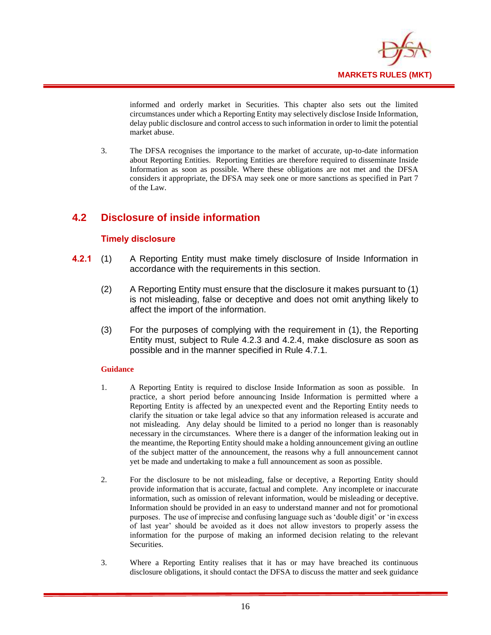

informed and orderly market in Securities. This chapter also sets out the limited circumstances under which a Reporting Entity may selectively disclose Inside Information, delay public disclosure and control access to such information in order to limit the potential market abuse.

3. The DFSA recognises the importance to the market of accurate, up-to-date information about Reporting Entities. Reporting Entities are therefore required to disseminate Inside Information as soon as possible. Where these obligations are not met and the DFSA considers it appropriate, the DFSA may seek one or more sanctions as specified in Part 7 of the Law.

## **4.2 Disclosure of inside information**

#### **Timely disclosure**

- **4.2.1** (1) A Reporting Entity must make timely disclosure of Inside Information in accordance with the requirements in this section.
	- (2) A Reporting Entity must ensure that the disclosure it makes pursuant to (1) is not misleading, false or deceptive and does not omit anything likely to affect the import of the information.
	- (3) For the purposes of complying with the requirement in (1), the Reporting Entity must, subject to Rule 4.2.3 and 4.2.4, make disclosure as soon as possible and in the manner specified in Rule 4.7.1.

#### **Guidance**

- 1. A Reporting Entity is required to disclose Inside Information as soon as possible. In practice, a short period before announcing Inside Information is permitted where a Reporting Entity is affected by an unexpected event and the Reporting Entity needs to clarify the situation or take legal advice so that any information released is accurate and not misleading. Any delay should be limited to a period no longer than is reasonably necessary in the circumstances. Where there is a danger of the information leaking out in the meantime, the Reporting Entity should make a holding announcement giving an outline of the subject matter of the announcement, the reasons why a full announcement cannot yet be made and undertaking to make a full announcement as soon as possible.
- 2. For the disclosure to be not misleading, false or deceptive, a Reporting Entity should provide information that is accurate, factual and complete. Any incomplete or inaccurate information, such as omission of relevant information, would be misleading or deceptive. Information should be provided in an easy to understand manner and not for promotional purposes. The use of imprecise and confusing language such as 'double digit' or 'in excess of last year' should be avoided as it does not allow investors to properly assess the information for the purpose of making an informed decision relating to the relevant Securities.
- 3. Where a Reporting Entity realises that it has or may have breached its continuous disclosure obligations, it should contact the DFSA to discuss the matter and seek guidance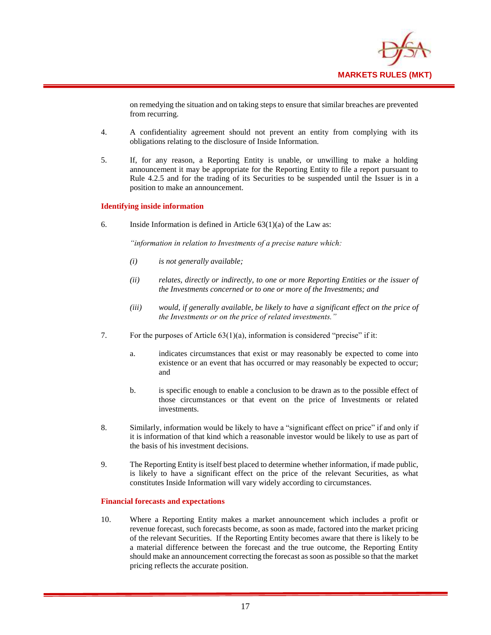

on remedying the situation and on taking steps to ensure that similar breaches are prevented from recurring.

- 4. A confidentiality agreement should not prevent an entity from complying with its obligations relating to the disclosure of Inside Information.
- 5. If, for any reason, a Reporting Entity is unable, or unwilling to make a holding announcement it may be appropriate for the Reporting Entity to file a report pursuant to Rule 4.2.5 and for the trading of its Securities to be suspended until the Issuer is in a position to make an announcement.

#### **Identifying inside information**

6. Inside Information is defined in Article  $63(1)(a)$  of the Law as:

*"information in relation to Investments of a precise nature which:* 

- *(i) is not generally available;*
- *(ii) relates, directly or indirectly, to one or more Reporting Entities or the issuer of the Investments concerned or to one or more of the Investments; and*
- *(iii) would, if generally available, be likely to have a significant effect on the price of the Investments or on the price of related investments."*
- 7. For the purposes of Article 63(1)(a), information is considered "precise" if it:
	- a. indicates circumstances that exist or may reasonably be expected to come into existence or an event that has occurred or may reasonably be expected to occur; and
	- b. is specific enough to enable a conclusion to be drawn as to the possible effect of those circumstances or that event on the price of Investments or related investments.
- 8. Similarly, information would be likely to have a "significant effect on price" if and only if it is information of that kind which a reasonable investor would be likely to use as part of the basis of his investment decisions.
- 9. The Reporting Entity is itself best placed to determine whether information, if made public, is likely to have a significant effect on the price of the relevant Securities, as what constitutes Inside Information will vary widely according to circumstances.

#### **Financial forecasts and expectations**

10. Where a Reporting Entity makes a market announcement which includes a profit or revenue forecast, such forecasts become, as soon as made, factored into the market pricing of the relevant Securities. If the Reporting Entity becomes aware that there is likely to be a material difference between the forecast and the true outcome, the Reporting Entity should make an announcement correcting the forecast as soon as possible so that the market pricing reflects the accurate position.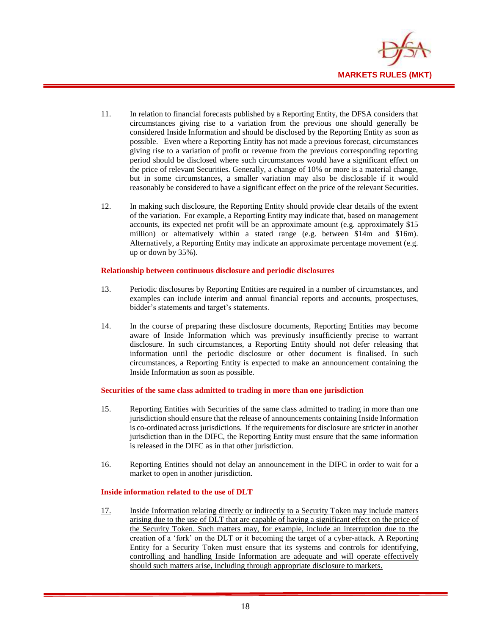

- 11. In relation to financial forecasts published by a Reporting Entity, the DFSA considers that circumstances giving rise to a variation from the previous one should generally be considered Inside Information and should be disclosed by the Reporting Entity as soon as possible. Even where a Reporting Entity has not made a previous forecast, circumstances giving rise to a variation of profit or revenue from the previous corresponding reporting period should be disclosed where such circumstances would have a significant effect on the price of relevant Securities. Generally, a change of 10% or more is a material change, but in some circumstances, a smaller variation may also be disclosable if it would reasonably be considered to have a significant effect on the price of the relevant Securities.
- 12. In making such disclosure, the Reporting Entity should provide clear details of the extent of the variation. For example, a Reporting Entity may indicate that, based on management accounts, its expected net profit will be an approximate amount (e.g. approximately \$15 million) or alternatively within a stated range (e.g. between \$14m and \$16m). Alternatively, a Reporting Entity may indicate an approximate percentage movement (e.g. up or down by 35%).

#### **Relationship between continuous disclosure and periodic disclosures**

- 13. Periodic disclosures by Reporting Entities are required in a number of circumstances, and examples can include interim and annual financial reports and accounts, prospectuses, bidder's statements and target's statements.
- 14. In the course of preparing these disclosure documents, Reporting Entities may become aware of Inside Information which was previously insufficiently precise to warrant disclosure. In such circumstances, a Reporting Entity should not defer releasing that information until the periodic disclosure or other document is finalised. In such circumstances, a Reporting Entity is expected to make an announcement containing the Inside Information as soon as possible.

#### **Securities of the same class admitted to trading in more than one jurisdiction**

- 15. Reporting Entities with Securities of the same class admitted to trading in more than one jurisdiction should ensure that the release of announcements containing Inside Information is co-ordinated across jurisdictions. If the requirements for disclosure are stricter in another jurisdiction than in the DIFC, the Reporting Entity must ensure that the same information is released in the DIFC as in that other jurisdiction.
- 16. Reporting Entities should not delay an announcement in the DIFC in order to wait for a market to open in another jurisdiction.

#### **Inside information related to the use of DLT**

17. Inside Information relating directly or indirectly to a Security Token may include matters arising due to the use of DLT that are capable of having a significant effect on the price of the Security Token. Such matters may, for example, include an interruption due to the creation of a 'fork' on the DLT or it becoming the target of a cyber-attack. A Reporting Entity for a Security Token must ensure that its systems and controls for identifying, controlling and handling Inside Information are adequate and will operate effectively should such matters arise, including through appropriate disclosure to markets.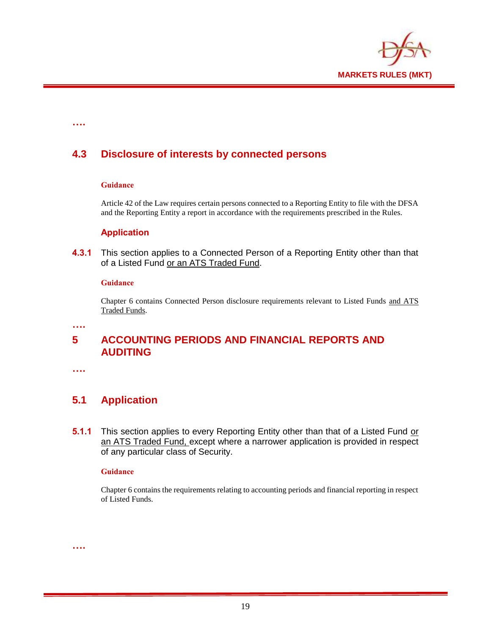

## **4.3 Disclosure of interests by connected persons**

#### **Guidance**

Article 42 of the Law requires certain persons connected to a Reporting Entity to file with the DFSA and the Reporting Entity a report in accordance with the requirements prescribed in the Rules.

#### **Application**

**4.3.1** This section applies to a Connected Person of a Reporting Entity other than that of a Listed Fund or an ATS Traded Fund.

#### **Guidance**

Chapter 6 contains Connected Person disclosure requirements relevant to Listed Funds and ATS Traded Funds.

**….**

**….**

## **5 ACCOUNTING PERIODS AND FINANCIAL REPORTS AND AUDITING**

**….**

## **5.1 Application**

**5.1.1** This section applies to every Reporting Entity other than that of a Listed Fund or an ATS Traded Fund, except where a narrower application is provided in respect of any particular class of Security.

#### **Guidance**

Chapter 6 contains the requirements relating to accounting periods and financial reporting in respect of Listed Funds.

**….**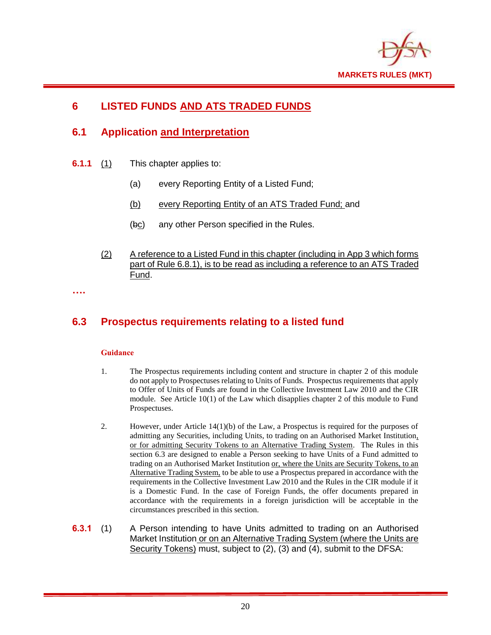

## **6 LISTED FUNDS AND ATS TRADED FUNDS**

## **6.1 Application and Interpretation**

- **6.1.1** (1) This chapter applies to:
	- (a) every Reporting Entity of a Listed Fund;
	- (b) every Reporting Entity of an ATS Traded Fund; and
	- $(bc)$  any other Person specified in the Rules.
	- (2) A reference to a Listed Fund in this chapter (including in App 3 which forms part of Rule 6.8.1), is to be read as including a reference to an ATS Traded Fund.

**….**

## **6.3 Prospectus requirements relating to a listed fund**

#### **Guidance**

- 1. The Prospectus requirements including content and structure in chapter 2 of this module do not apply to Prospectuses relating to Units of Funds. Prospectus requirements that apply to Offer of Units of Funds are found in the Collective Investment Law 2010 and the CIR module. See Article 10(1) of the Law which disapplies chapter 2 of this module to Fund Prospectuses.
- 2. However, under Article 14(1)(b) of the Law, a Prospectus is required for the purposes of admitting any Securities, including Units, to trading on an Authorised Market Institution, or for admitting Security Tokens to an Alternative Trading System. The Rules in this section 6.3 are designed to enable a Person seeking to have Units of a Fund admitted to trading on an Authorised Market Institution or, where the Units are Security Tokens, to an Alternative Trading System, to be able to use a Prospectus prepared in accordance with the requirements in the Collective Investment Law 2010 and the Rules in the CIR module if it is a Domestic Fund. In the case of Foreign Funds, the offer documents prepared in accordance with the requirements in a foreign jurisdiction will be acceptable in the circumstances prescribed in this section.
- **6.3.1** (1) A Person intending to have Units admitted to trading on an Authorised Market Institution or on an Alternative Trading System (where the Units are Security Tokens) must, subject to (2), (3) and (4), submit to the DFSA: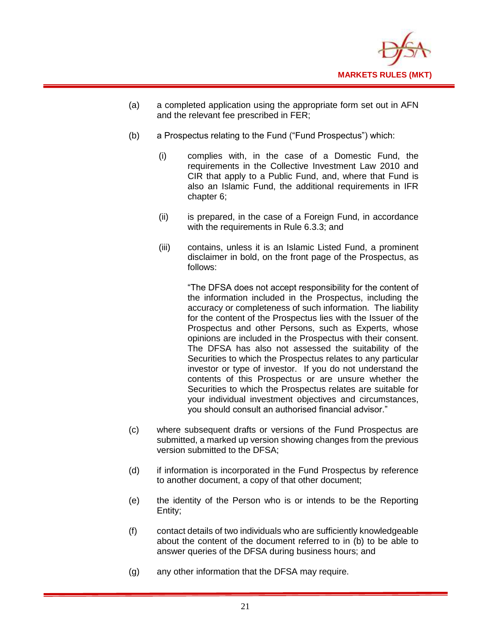

- (a) a completed application using the appropriate form set out in AFN and the relevant fee prescribed in FER;
- (b) a Prospectus relating to the Fund ("Fund Prospectus") which:
	- (i) complies with, in the case of a Domestic Fund, the requirements in the Collective Investment Law 2010 and CIR that apply to a Public Fund, and, where that Fund is also an Islamic Fund, the additional requirements in IFR chapter 6;
	- (ii) is prepared, in the case of a Foreign Fund, in accordance with the requirements in Rule 6.3.3; and
	- (iii) contains, unless it is an Islamic Listed Fund, a prominent disclaimer in bold, on the front page of the Prospectus, as follows:

"The DFSA does not accept responsibility for the content of the information included in the Prospectus, including the accuracy or completeness of such information. The liability for the content of the Prospectus lies with the Issuer of the Prospectus and other Persons, such as Experts, whose opinions are included in the Prospectus with their consent. The DFSA has also not assessed the suitability of the Securities to which the Prospectus relates to any particular investor or type of investor. If you do not understand the contents of this Prospectus or are unsure whether the Securities to which the Prospectus relates are suitable for your individual investment objectives and circumstances, you should consult an authorised financial advisor."

- (c) where subsequent drafts or versions of the Fund Prospectus are submitted, a marked up version showing changes from the previous version submitted to the DFSA;
- (d) if information is incorporated in the Fund Prospectus by reference to another document, a copy of that other document;
- (e) the identity of the Person who is or intends to be the Reporting Entity;
- (f) contact details of two individuals who are sufficiently knowledgeable about the content of the document referred to in (b) to be able to answer queries of the DFSA during business hours; and
- (g) any other information that the DFSA may require.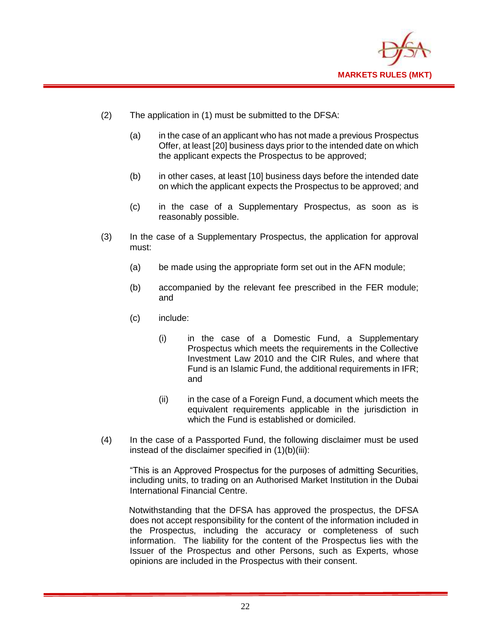

- (2) The application in (1) must be submitted to the DFSA:
	- (a) in the case of an applicant who has not made a previous Prospectus Offer, at least [20] business days prior to the intended date on which the applicant expects the Prospectus to be approved;
	- (b) in other cases, at least [10] business days before the intended date on which the applicant expects the Prospectus to be approved; and
	- (c) in the case of a Supplementary Prospectus, as soon as is reasonably possible.
- (3) In the case of a Supplementary Prospectus, the application for approval must:
	- (a) be made using the appropriate form set out in the AFN module;
	- (b) accompanied by the relevant fee prescribed in the FER module; and
	- (c) include:
		- (i) in the case of a Domestic Fund, a Supplementary Prospectus which meets the requirements in the Collective Investment Law 2010 and the CIR Rules, and where that Fund is an Islamic Fund, the additional requirements in IFR; and
		- (ii) in the case of a Foreign Fund, a document which meets the equivalent requirements applicable in the jurisdiction in which the Fund is established or domiciled.
- (4) In the case of a Passported Fund, the following disclaimer must be used instead of the disclaimer specified in  $(1)(b)(iii)$ :

"This is an Approved Prospectus for the purposes of admitting Securities, including units, to trading on an Authorised Market Institution in the Dubai International Financial Centre.

Notwithstanding that the DFSA has approved the prospectus, the DFSA does not accept responsibility for the content of the information included in the Prospectus, including the accuracy or completeness of such information. The liability for the content of the Prospectus lies with the Issuer of the Prospectus and other Persons, such as Experts, whose opinions are included in the Prospectus with their consent.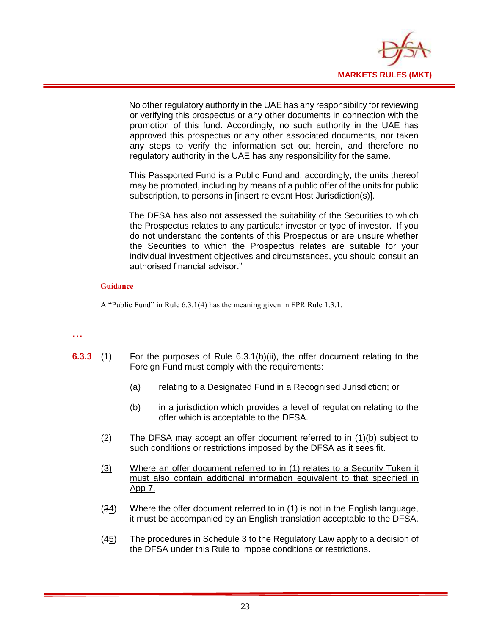

No other regulatory authority in the UAE has any responsibility for reviewing or verifying this prospectus or any other documents in connection with the promotion of this fund. Accordingly, no such authority in the UAE has approved this prospectus or any other associated documents, nor taken any steps to verify the information set out herein, and therefore no regulatory authority in the UAE has any responsibility for the same.

This Passported Fund is a Public Fund and, accordingly, the units thereof may be promoted, including by means of a public offer of the units for public subscription, to persons in [insert relevant Host Jurisdiction(s)].

The DFSA has also not assessed the suitability of the Securities to which the Prospectus relates to any particular investor or type of investor. If you do not understand the contents of this Prospectus or are unsure whether the Securities to which the Prospectus relates are suitable for your individual investment objectives and circumstances, you should consult an authorised financial advisor."

#### **Guidance**

A "Public Fund" in Rule 6.3.1(4) has the meaning given in FPR Rule 1.3.1.

#### **…**

- **6.3.3** (1) For the purposes of Rule 6.3.1(b)(ii), the offer document relating to the Foreign Fund must comply with the requirements:
	- (a) relating to a Designated Fund in a Recognised Jurisdiction; or
	- (b) in a jurisdiction which provides a level of regulation relating to the offer which is acceptable to the DFSA.
	- (2) The DFSA may accept an offer document referred to in (1)(b) subject to such conditions or restrictions imposed by the DFSA as it sees fit.
	- (3) Where an offer document referred to in (1) relates to a Security Token it must also contain additional information equivalent to that specified in App 7.
	- $(34)$  Where the offer document referred to in  $(1)$  is not in the English language, it must be accompanied by an English translation acceptable to the DFSA.
	- (45) The procedures in Schedule 3 to the Regulatory Law apply to a decision of the DFSA under this Rule to impose conditions or restrictions.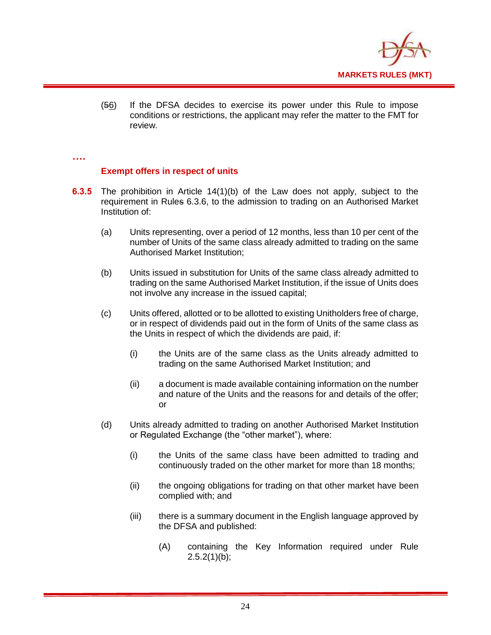

(56) If the DFSA decides to exercise its power under this Rule to impose conditions or restrictions, the applicant may refer the matter to the FMT for review.

#### **….**

#### **Exempt offers in respect of units**

- **6.3.5** The prohibition in Article 14(1)(b) of the Law does not apply, subject to the requirement in Rules 6.3.6, to the admission to trading on an Authorised Market Institution of:
	- (a) Units representing, over a period of 12 months, less than 10 per cent of the number of Units of the same class already admitted to trading on the same Authorised Market Institution;
	- (b) Units issued in substitution for Units of the same class already admitted to trading on the same Authorised Market Institution, if the issue of Units does not involve any increase in the issued capital;
	- (c) Units offered, allotted or to be allotted to existing Unitholders free of charge, or in respect of dividends paid out in the form of Units of the same class as the Units in respect of which the dividends are paid, if:
		- (i) the Units are of the same class as the Units already admitted to trading on the same Authorised Market Institution; and
		- (ii) a document is made available containing information on the number and nature of the Units and the reasons for and details of the offer; or
	- (d) Units already admitted to trading on another Authorised Market Institution or Regulated Exchange (the "other market"), where:
		- (i) the Units of the same class have been admitted to trading and continuously traded on the other market for more than 18 months;
		- (ii) the ongoing obligations for trading on that other market have been complied with; and
		- (iii) there is a summary document in the English language approved by the DFSA and published:
			- (A) containing the Key Information required under Rule  $2.5.2(1)(b)$ ;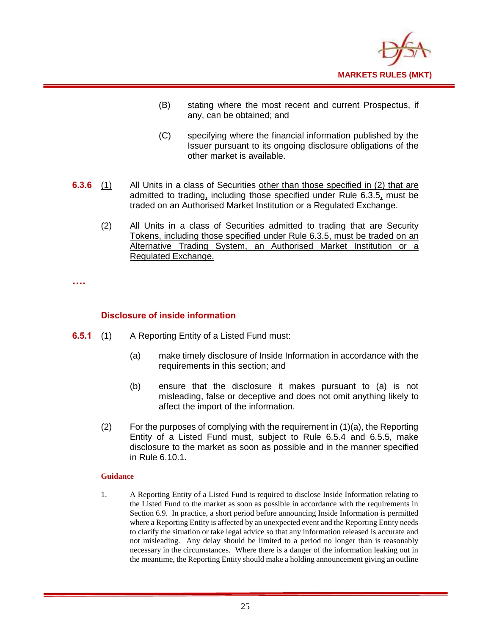

- (B) stating where the most recent and current Prospectus, if any, can be obtained; and
- (C) specifying where the financial information published by the Issuer pursuant to its ongoing disclosure obligations of the other market is available.
- **6.3.6** (1) All Units in a class of Securities other than those specified in (2) that are admitted to trading, including those specified under Rule 6.3.5, must be traded on an Authorised Market Institution or a Regulated Exchange.
	- (2) All Units in a class of Securities admitted to trading that are Security Tokens, including those specified under Rule 6.3.5, must be traded on an Alternative Trading System, an Authorised Market Institution or a Regulated Exchange.

**….**

#### **Disclosure of inside information**

- **6.5.1** (1) A Reporting Entity of a Listed Fund must:
	- (a) make timely disclosure of Inside Information in accordance with the requirements in this section; and
	- (b) ensure that the disclosure it makes pursuant to (a) is not misleading, false or deceptive and does not omit anything likely to affect the import of the information.
	- (2) For the purposes of complying with the requirement in (1)(a), the Reporting Entity of a Listed Fund must, subject to Rule 6.5.4 and 6.5.5, make disclosure to the market as soon as possible and in the manner specified in Rule 6.10.1.

#### **Guidance**

1. A Reporting Entity of a Listed Fund is required to disclose Inside Information relating to the Listed Fund to the market as soon as possible in accordance with the requirements in Section 6.9. In practice, a short period before announcing Inside Information is permitted where a Reporting Entity is affected by an unexpected event and the Reporting Entity needs to clarify the situation or take legal advice so that any information released is accurate and not misleading. Any delay should be limited to a period no longer than is reasonably necessary in the circumstances. Where there is a danger of the information leaking out in the meantime, the Reporting Entity should make a holding announcement giving an outline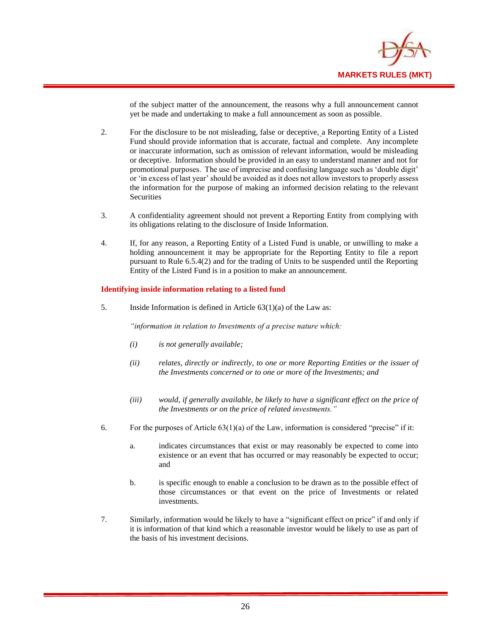

of the subject matter of the announcement, the reasons why a full announcement cannot yet be made and undertaking to make a full announcement as soon as possible.

- 2. For the disclosure to be not misleading, false or deceptive, a Reporting Entity of a Listed Fund should provide information that is accurate, factual and complete. Any incomplete or inaccurate information, such as omission of relevant information, would be misleading or deceptive. Information should be provided in an easy to understand manner and not for promotional purposes. The use of imprecise and confusing language such as 'double digit' or 'in excess of last year' should be avoided as it does not allow investors to properly assess the information for the purpose of making an informed decision relating to the relevant **Securities**
- 3. A confidentiality agreement should not prevent a Reporting Entity from complying with its obligations relating to the disclosure of Inside Information.
- 4. If, for any reason, a Reporting Entity of a Listed Fund is unable, or unwilling to make a holding announcement it may be appropriate for the Reporting Entity to file a report pursuant to Rule 6.5.4(2) and for the trading of Units to be suspended until the Reporting Entity of the Listed Fund is in a position to make an announcement.

#### **Identifying inside information relating to a listed fund**

5. Inside Information is defined in Article 63(1)(a) of the Law as:

*"information in relation to Investments of a precise nature which:* 

- *(i) is not generally available;*
- *(ii) relates, directly or indirectly, to one or more Reporting Entities or the issuer of the Investments concerned or to one or more of the Investments; and*
- *(iii) would, if generally available, be likely to have a significant effect on the price of the Investments or on the price of related investments."*
- 6. For the purposes of Article  $63(1)(a)$  of the Law, information is considered "precise" if it:
	- a. indicates circumstances that exist or may reasonably be expected to come into existence or an event that has occurred or may reasonably be expected to occur; and
	- b. is specific enough to enable a conclusion to be drawn as to the possible effect of those circumstances or that event on the price of Investments or related investments.
- 7. Similarly, information would be likely to have a "significant effect on price" if and only if it is information of that kind which a reasonable investor would be likely to use as part of the basis of his investment decisions.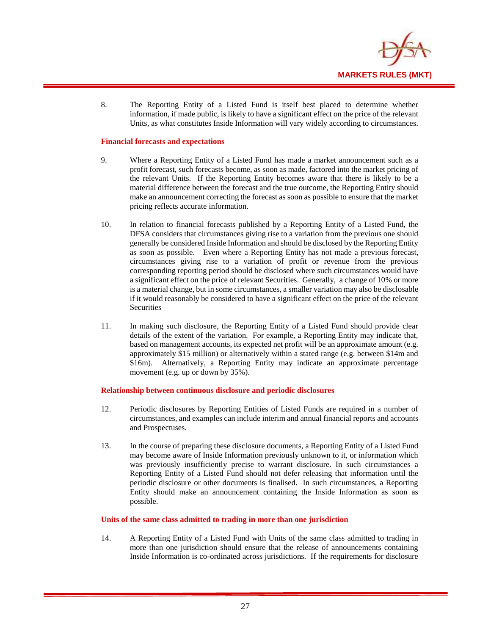

8. The Reporting Entity of a Listed Fund is itself best placed to determine whether information, if made public, is likely to have a significant effect on the price of the relevant Units, as what constitutes Inside Information will vary widely according to circumstances.

#### **Financial forecasts and expectations**

- 9. Where a Reporting Entity of a Listed Fund has made a market announcement such as a profit forecast, such forecasts become, as soon as made, factored into the market pricing of the relevant Units. If the Reporting Entity becomes aware that there is likely to be a material difference between the forecast and the true outcome, the Reporting Entity should make an announcement correcting the forecast as soon as possible to ensure that the market pricing reflects accurate information.
- 10. In relation to financial forecasts published by a Reporting Entity of a Listed Fund, the DFSA considers that circumstances giving rise to a variation from the previous one should generally be considered Inside Information and should be disclosed by the Reporting Entity as soon as possible. Even where a Reporting Entity has not made a previous forecast, circumstances giving rise to a variation of profit or revenue from the previous corresponding reporting period should be disclosed where such circumstances would have a significant effect on the price of relevant Securities. Generally, a change of 10% or more is a material change, but in some circumstances, a smaller variation may also be disclosable if it would reasonably be considered to have a significant effect on the price of the relevant **Securities**
- 11. In making such disclosure, the Reporting Entity of a Listed Fund should provide clear details of the extent of the variation. For example, a Reporting Entity may indicate that, based on management accounts, its expected net profit will be an approximate amount (e.g. approximately \$15 million) or alternatively within a stated range (e.g. between \$14m and \$16m). Alternatively, a Reporting Entity may indicate an approximate percentage movement (e.g. up or down by 35%).

#### **Relationship between continuous disclosure and periodic disclosures**

- 12. Periodic disclosures by Reporting Entities of Listed Funds are required in a number of circumstances, and examples can include interim and annual financial reports and accounts and Prospectuses.
- 13. In the course of preparing these disclosure documents, a Reporting Entity of a Listed Fund may become aware of Inside Information previously unknown to it, or information which was previously insufficiently precise to warrant disclosure. In such circumstances a Reporting Entity of a Listed Fund should not defer releasing that information until the periodic disclosure or other documents is finalised. In such circumstances, a Reporting Entity should make an announcement containing the Inside Information as soon as possible.

#### **Units of the same class admitted to trading in more than one jurisdiction**

14. A Reporting Entity of a Listed Fund with Units of the same class admitted to trading in more than one jurisdiction should ensure that the release of announcements containing Inside Information is co-ordinated across jurisdictions. If the requirements for disclosure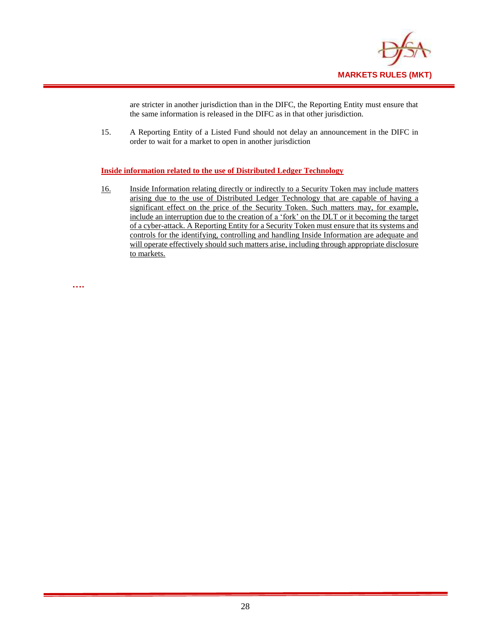

are stricter in another jurisdiction than in the DIFC, the Reporting Entity must ensure that the same information is released in the DIFC as in that other jurisdiction.

15. A Reporting Entity of a Listed Fund should not delay an announcement in the DIFC in order to wait for a market to open in another jurisdiction

#### **Inside information related to the use of Distributed Ledger Technology**

16. Inside Information relating directly or indirectly to a Security Token may include matters arising due to the use of Distributed Ledger Technology that are capable of having a significant effect on the price of the Security Token. Such matters may, for example, include an interruption due to the creation of a 'fork' on the DLT or it becoming the target of a cyber-attack. A Reporting Entity for a Security Token must ensure that its systems and controls for the identifying, controlling and handling Inside Information are adequate and will operate effectively should such matters arise, including through appropriate disclosure to markets.

**….**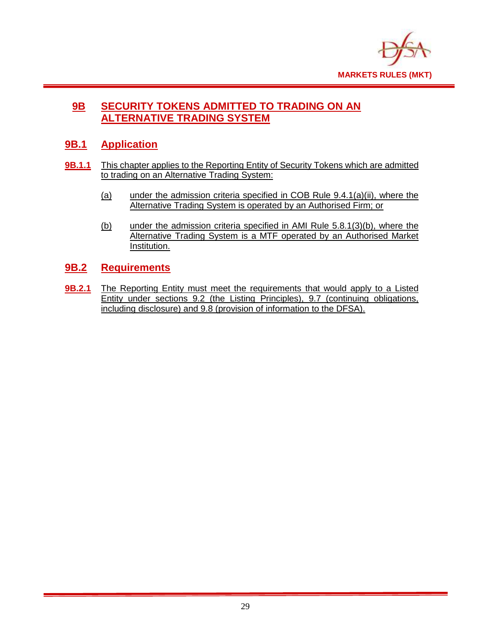

## **9B SECURITY TOKENS ADMITTED TO TRADING ON AN ALTERNATIVE TRADING SYSTEM**

## **9B.1 Application**

- **9B.1.1** This chapter applies to the Reporting Entity of Security Tokens which are admitted to trading on an Alternative Trading System:
	- (a) under the admission criteria specified in COB Rule 9.4.1(a)(ii), where the Alternative Trading System is operated by an Authorised Firm; or
	- (b) under the admission criteria specified in AMI Rule 5.8.1(3)(b), where the Alternative Trading System is a MTF operated by an Authorised Market Institution.

## **9B.2 Requirements**

**9B.2.1** The Reporting Entity must meet the requirements that would apply to a Listed Entity under sections 9.2 (the Listing Principles), 9.7 (continuing obligations, including disclosure) and 9.8 (provision of information to the DFSA).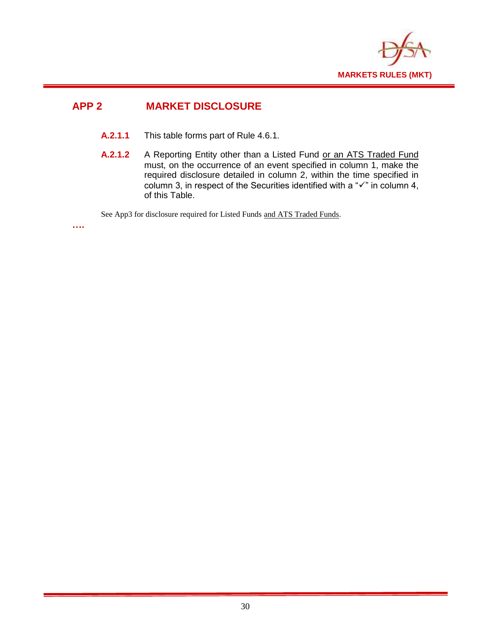

## **APP 2 MARKET DISCLOSURE**

- **A.2.1.1** This table forms part of Rule 4.6.1.
- **A.2.1.2** A Reporting Entity other than a Listed Fund or an ATS Traded Fund must, on the occurrence of an event specified in column 1, make the required disclosure detailed in column 2, within the time specified in column 3, in respect of the Securities identified with a "✓" in column 4, of this Table.

See App3 for disclosure required for Listed Funds and ATS Traded Funds.

**….**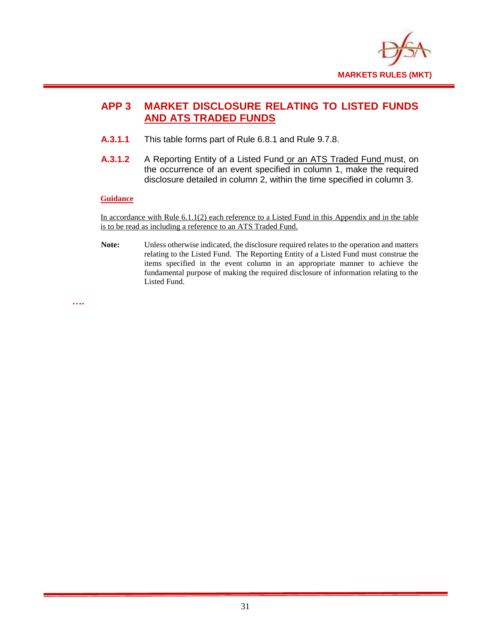

## **APP 3 MARKET DISCLOSURE RELATING TO LISTED FUNDS AND ATS TRADED FUNDS**

- **A.3.1.1** This table forms part of Rule 6.8.1 and Rule 9.7.8.
- **A.3.1.2** A Reporting Entity of a Listed Fund or an ATS Traded Fund must, on the occurrence of an event specified in column 1, make the required disclosure detailed in column 2, within the time specified in column 3.

#### **Guidance**

In accordance with Rule 6.1.1(2) each reference to a Listed Fund in this Appendix and in the table is to be read as including a reference to an ATS Traded Fund.

**Note:** Unless otherwise indicated, the disclosure required relates to the operation and matters relating to the Listed Fund. The Reporting Entity of a Listed Fund must construe the items specified in the event column in an appropriate manner to achieve the fundamental purpose of making the required disclosure of information relating to the Listed Fund.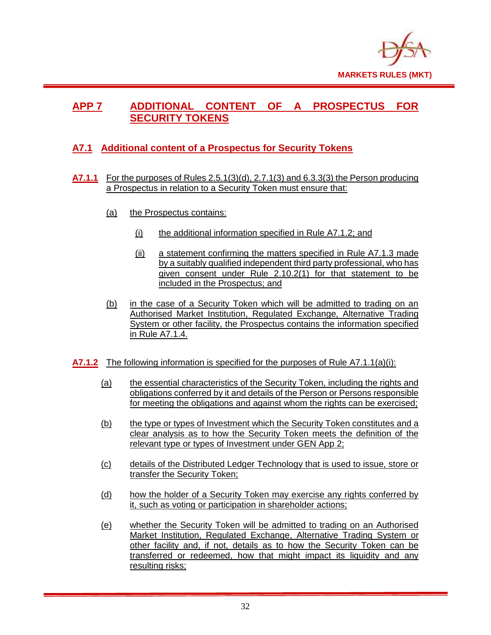

## **APP 7 ADDITIONAL CONTENT OF A PROSPECTUS FOR SECURITY TOKENS**

## **A7.1 Additional content of a Prospectus for Security Tokens**

- **A7.1.1** For the purposes of Rules 2.5.1(3)(d), 2.7.1(3) and 6.3.3(3) the Person producing a Prospectus in relation to a Security Token must ensure that:
	- (a) the Prospectus contains:
		- (i) the additional information specified in Rule A7.1.2; and
		- (ii) a statement confirming the matters specified in Rule A7.1.3 made by a suitably qualified independent third party professional, who has given consent under Rule 2.10.2(1) for that statement to be included in the Prospectus; and
	- (b) in the case of a Security Token which will be admitted to trading on an Authorised Market Institution, Regulated Exchange, Alternative Trading System or other facility, the Prospectus contains the information specified in Rule A7.1.4.
- **A7.1.2** The following information is specified for the purposes of Rule A7.1.1(a)(i):
	- (a) the essential characteristics of the Security Token, including the rights and obligations conferred by it and details of the Person or Persons responsible for meeting the obligations and against whom the rights can be exercised;
	- (b) the type or types of Investment which the Security Token constitutes and a clear analysis as to how the Security Token meets the definition of the relevant type or types of Investment under GEN App 2;
	- (c) details of the Distributed Ledger Technology that is used to issue, store or transfer the Security Token;
	- (d) how the holder of a Security Token may exercise any rights conferred by it, such as voting or participation in shareholder actions;
	- (e) whether the Security Token will be admitted to trading on an Authorised Market Institution, Regulated Exchange, Alternative Trading System or other facility and, if not, details as to how the Security Token can be transferred or redeemed, how that might impact its liquidity and any resulting risks;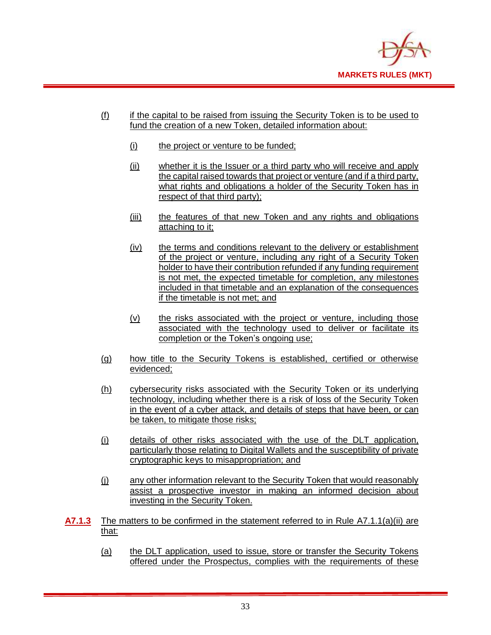

- (f) if the capital to be raised from issuing the Security Token is to be used to fund the creation of a new Token, detailed information about:
	- (i) the project or venture to be funded;
	- (ii) whether it is the Issuer or a third party who will receive and apply the capital raised towards that project or venture (and if a third party, what rights and obligations a holder of the Security Token has in respect of that third party);
	- (iii) the features of that new Token and any rights and obligations attaching to it:
	- (iv) the terms and conditions relevant to the delivery or establishment of the project or venture, including any right of a Security Token holder to have their contribution refunded if any funding requirement is not met, the expected timetable for completion, any milestones included in that timetable and an explanation of the consequences if the timetable is not met; and
	- (v) the risks associated with the project or venture, including those associated with the technology used to deliver or facilitate its completion or the Token's ongoing use;
- (g) how title to the Security Tokens is established, certified or otherwise evidenced;
- (h) cybersecurity risks associated with the Security Token or its underlying technology, including whether there is a risk of loss of the Security Token in the event of a cyber attack, and details of steps that have been, or can be taken, to mitigate those risks;
- (i) details of other risks associated with the use of the DLT application, particularly those relating to Digital Wallets and the susceptibility of private cryptographic keys to misappropriation; and
- (i) any other information relevant to the Security Token that would reasonably assist a prospective investor in making an informed decision about investing in the Security Token.
- **A7.1.3** The matters to be confirmed in the statement referred to in Rule A7.1.1(a)(ii) are that:
	- (a) the DLT application, used to issue, store or transfer the Security Tokens offered under the Prospectus, complies with the requirements of these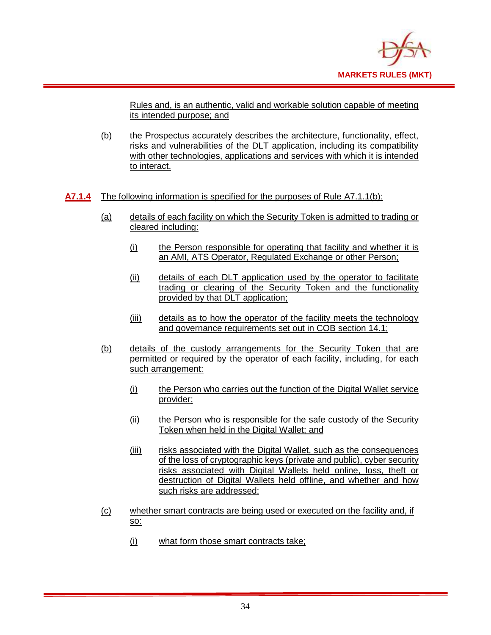

Rules and, is an authentic, valid and workable solution capable of meeting its intended purpose; and

- (b) the Prospectus accurately describes the architecture, functionality, effect, risks and vulnerabilities of the DLT application, including its compatibility with other technologies, applications and services with which it is intended to interact.
- **A7.1.4** The following information is specified for the purposes of Rule A7.1.1(b):
	- (a) details of each facility on which the Security Token is admitted to trading or cleared including:
		- (i) the Person responsible for operating that facility and whether it is an AMI, ATS Operator, Regulated Exchange or other Person;
		- (ii) details of each DLT application used by the operator to facilitate trading or clearing of the Security Token and the functionality provided by that DLT application;
		- (iii) details as to how the operator of the facility meets the technology and governance requirements set out in COB section 14.1;
	- (b) details of the custody arrangements for the Security Token that are permitted or required by the operator of each facility, including, for each such arrangement:
		- (i) the Person who carries out the function of the Digital Wallet service provider;
		- (ii) the Person who is responsible for the safe custody of the Security Token when held in the Digital Wallet; and
		- (iii) risks associated with the Digital Wallet, such as the consequences of the loss of cryptographic keys (private and public), cyber security risks associated with Digital Wallets held online, loss, theft or destruction of Digital Wallets held offline, and whether and how such risks are addressed;
	- (c) whether smart contracts are being used or executed on the facility and, if so:
		- (i) what form those smart contracts take;